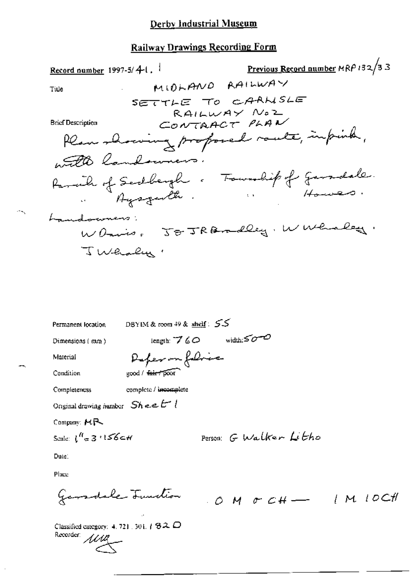### Railway Drawings Recording Form

DBYIM & room  $49$  & shelf:  $55$ Permanent location length:  $760$  width: $50-0$ Dimensions (mm) Deferm folie Material good / fair poor Condition Completeness complete / incomplete Original drawing humber  $Sh$  e.e.  $t^{-1}$ Company: MR Scale:  $\int_{0}^{H}$  = 3  $156$  c H Person G Walker Litho Date:

Place

Garadale Junction 0 M & CH - 1 M 10CH

Classified category: 4, 721, 301,  $/$  82,  $\Box$ Recorder: MMA

 $\sim$   $\sim$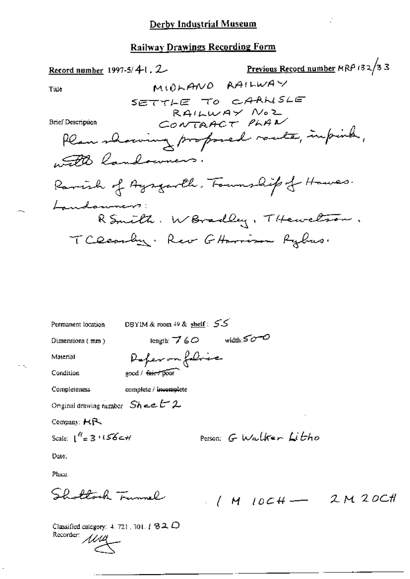## Railway Drawings Recording Form

DBYIM & room 49 & shelf: 55 Permanent location length:  $760$  width: $500$ Dimensions (mm) Deferma folice Material good / fair / poor Condition Completeness complete / incomplete Onginal drawing number  $Sh$  =  $E^2$  2 Company: HR

Date:

Place.

Shottoch Tunnel

Scale:  $\int_0^{R} = 3.1156$ c+1

 $1/M$  10CH - 2M 20CH

Classified category: 4, 721, 301,  $t$   $32$   $D$ Recorder: 1114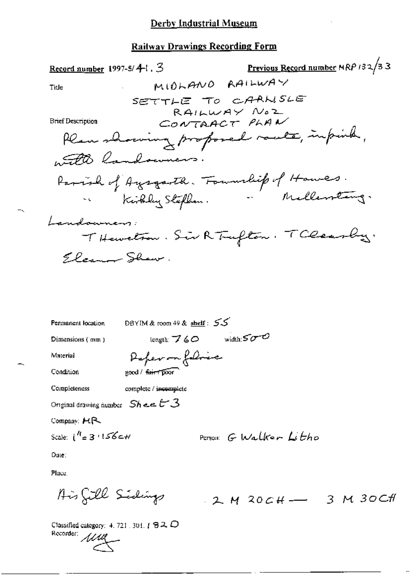| Record number 1997-5/ $4$ <sup>-1</sup> , 3 |                                        | Previous Record number MRP 132/33 |
|---------------------------------------------|----------------------------------------|-----------------------------------|
| Title                                       | MIOLANO RAILWAY                        |                                   |
|                                             | SETTLE TO CAANSLE                      |                                   |
| Brief Description                           | RAILWAY NOZ<br>CONTAACT PLAN           |                                   |
|                                             | Plan showing proposed route, impirely, |                                   |
| with landowners.                            |                                        |                                   |
|                                             | Parish of Ayegarth. Foundit of Howes.  |                                   |
|                                             | Kirkley Stephen. Mellewstang.          |                                   |
| Landowners:                                 |                                        |                                   |
|                                             | THeweton. Sir R Trufton. TClearby.     |                                   |
| Eleanor Shaw.                               |                                        |                                   |
|                                             |                                        |                                   |

DBYIM & room 49 & shelf: 55 Permanent location length:  $760$  width: $500$ Dimensions (mm) Deperson foliace Material good / fair poor Condition Completeness complete / incomplete Original drawing number  $Sh$  ee  $t-3$ Company: HR Scale:  $\lfloor \frac{R}{2} \rfloor$  3  $\lfloor \sqrt{6} \rfloor$ Person G Walker Litho Date:

Place.

$$
\text{A is 222.} \text{Sile Siedings} \qquad \qquad 2. \text{M} \text{ 20.} \text{CH} \longrightarrow \qquad 3. \text{M} \text{ 30.} \text{CH}
$$

Classified category: 4, 721, 301,  $I \otimes 2$ ,  $D$ Recorder: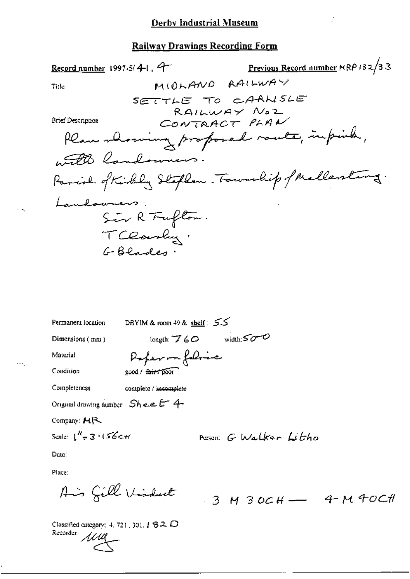Previous Record number MRP 132/33 Record number 1997-5/4-1, 9-MIOLAND RAILWAY Title SETTLE TO CAANSLE RAILWAY NOZ CONTAACT PLAN **Brief Description** Plan showing proposed route, impirity, with landowners Parish of Kirkley Stephen. Township of Mellenting. Landowners: Sir R Fufton. TClarky.

| Permanent location                         | DBYIM & room $49$ & shelf: $5.5$ |                        |  |
|--------------------------------------------|----------------------------------|------------------------|--|
| Dimensions $(mn)$                          | length: $760$                    | width: $50 - 0$        |  |
| Material                                   | Poper on followice               |                        |  |
| Condition                                  | good / fair / poor               |                        |  |
| Completeness                               | complete / incomplete            |                        |  |
| Original drawing number $Sh$ e.e. $L^2$ 4- |                                  |                        |  |
| Company: $HR$                              |                                  |                        |  |
| Scale: $\int_{-\pi}^{\pi} 3 + 156c$ +1     |                                  | Person: G Walker Litho |  |
| Date:                                      |                                  |                        |  |
| Diameter                                   |                                  |                        |  |

Place

Ais Gill Visduct

 $3$  M  $30CH$  - 4 M 40CH

Classified category: 4, 721, 301,  $1820$ Recorder: 1111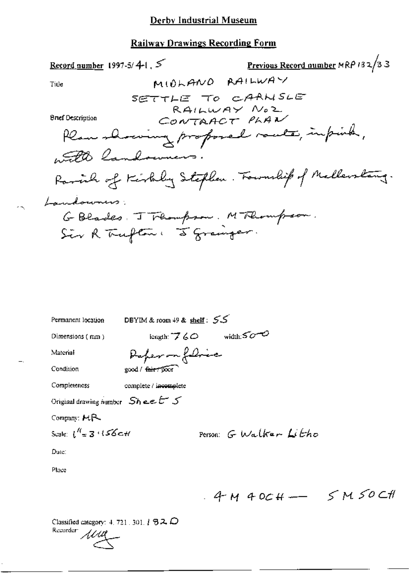Previous Record number MRP 132/33 Record number 1997-5/4-1, 5 MIOLANO RAILWAY Title SETTLE TO CARNSLE RAILWAY NOZ CONTAACT PLAN **Brief Description** Plan showing proposed route, impirity, with landowners. Parcial of Kirkley Stephen. Fournalisp of Mallerstang. Laudouners: GBlades. J Flampson. MFlompson.<br>Sir R Trufton: 5 Granger. DBYIM & room  $49$  & shelf:  $55$ Permanent location  $length: 760$  width: $500$ Dimensions (mm)

Material

Deperson foliace good / fair Toor

Condition

Completeness complete / incomplete

Original drawing number  $Sh$  ee  $t^-$  5

Company: MR

$$
\text{Scale: } \int_{0}^{R} \pm 3.3337 \text{ J} \leq \text{Scale}
$$

Person: G Walker Litho

Date:

Place

 $4 M 40CH \rightarrow$  SM SOCH

Classified category: 4, 721, 301,  $\ell$   $B$  2,  $D$ Recorder: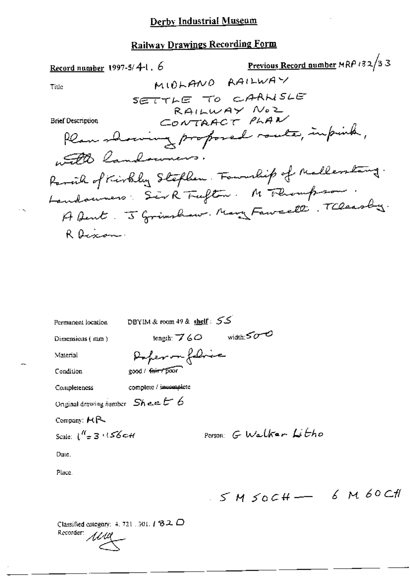# **Railway Drawings Recording Form**

| Record number 1997-5/4-1. 6           | Previous Record number MRP 132/33                  |
|---------------------------------------|----------------------------------------------------|
| Title:                                | MIOLANO RAILWAY                                    |
|                                       | SETTLE TO CAANSLE                                  |
| Brief Description                     | RAILWAY NOZ<br>CONTAACT PLAN                       |
|                                       | Hear showing proposed routes, impirity,            |
| with landowners.                      |                                                    |
|                                       | Parcil of Kirkly Stephen. Fouralip of Mallerstang. |
| Landouvers: Sirk Trufton. M Thompson. |                                                    |
|                                       | A fent. J Grimshaw. Mary Fawcell. Theasaby.        |
| R Dexon.                              |                                                    |
|                                       |                                                    |

| Permanent location                        | DBYIM & room 49 & shelf: 53 |                       |  |
|-------------------------------------------|-----------------------------|-----------------------|--|
| Dimensions (mm)                           | length: $760$               | width: $500$          |  |
| Material                                  | Deperson followice          |                       |  |
| Condition                                 | good / fair / poor          |                       |  |
| Completeness                              | complete / incomplete       |                       |  |
| Original drawing number $Sh$ e.e. $t - b$ |                             |                       |  |
| Company: $H2$                             |                             |                       |  |
| Scale: $1^{\prime\prime}$ = 3 $156$ c H   |                             | Person G Walker Litho |  |
| Date.                                     |                             |                       |  |
| Place.                                    |                             |                       |  |
|                                           |                             |                       |  |

 $55 M 50CH - 6 M 60 CH$ 

Classified category: 4, 721, 301,  $I$   $32$   $\Box$ Recorder: 1111

 $\cdot$   $\sim$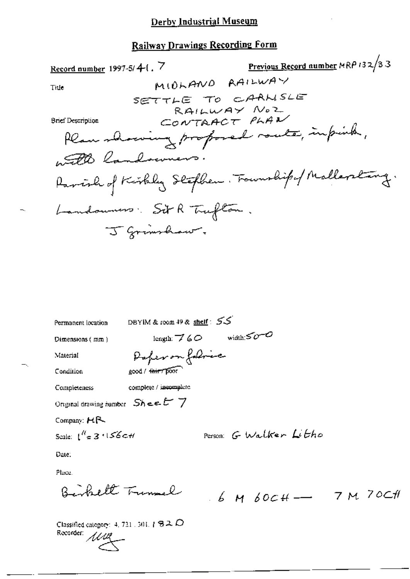Previous Record number MRP 132/33 Record number 1997-5/4-1. 7 MIOLANO RAILWAY Title SETTLE TO CARNSLE RAILWAY NOZ CONTRACT PLAN **Brief Description** Plan showing proposed route, impich, and landowners. Parish of Kirkley Stephen. Foundipof Mallerstang. Landonness. Sit R Trufton. J Grimshaw,

DBYIM & room 49 & shelf: 55 Permanent location length:  $760$  width: $500$ Dimensions (mm) Deferm folice Material good / thirr boot Condition complete / incomplete Completeness Original drawing number  $SheeE \ 7$ Company:  $H$   $R$ Person: G Walker Litho Scale:  $1'' = 3 \cdot 156$  C H Date:

Place.

Bishelt Trumal

 $6.6$  M  $60$ CH - 7 M 70CH

Classified category: 4, 721 , 301,  $1.82$ ,  $D$ Recorder: MM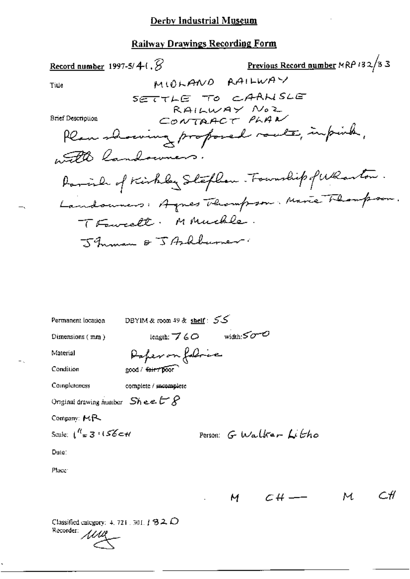| Record number 1997-5/4-1, $\beta$          |                             | Previous Record number MRP 132/33                |
|--------------------------------------------|-----------------------------|--------------------------------------------------|
| Ti⊔e                                       |                             | MIOLAND RAILWAY                                  |
|                                            | SETTLE TO CAANSLE           |                                                  |
| <b>Brief Description</b>                   |                             | RAILWAY NOZ                                      |
|                                            |                             | CONTAACT PLAN                                    |
|                                            |                             | Plan showing proposed route, impires,            |
|                                            | with landowners.            |                                                  |
|                                            |                             | Parish of Kirkley Stephen . Fourwhip of Wharton. |
|                                            |                             | Landonners: Agnes Thompson. Marie Thomp          |
|                                            | TFawcell. MAnuchle.         |                                                  |
|                                            | Jhman & JArkburner          |                                                  |
|                                            |                             |                                                  |
|                                            |                             |                                                  |
|                                            |                             |                                                  |
|                                            |                             |                                                  |
|                                            |                             |                                                  |
| Permanent location                         | DBYIM & room 49 & shelf: 55 |                                                  |
| Dimensions $(mn)$                          | length: $760$               | width: $50 - 0$                                  |
| Material                                   | Paper on following          |                                                  |
| Condition                                  | good / fair / poor          |                                                  |
| Completeness                               | complete / mcomplete        |                                                  |
| Original drawing number $Sh$ ee $L$ $S$    |                             |                                                  |
| Company: MR                                |                             |                                                  |
| Scale: $\int_{-\pi}^{\pi} 3 \cdot 156$ c+1 |                             | Person: G Walker Litho                           |

Date:

 $\equiv$  .

Place<sup>®</sup>

$$
M \quad CH \longrightarrow \quad M \quad CH
$$

Classified category: 4, 721, 301,  $\ddagger$  82,  $\ddot{D}$ Recorder MM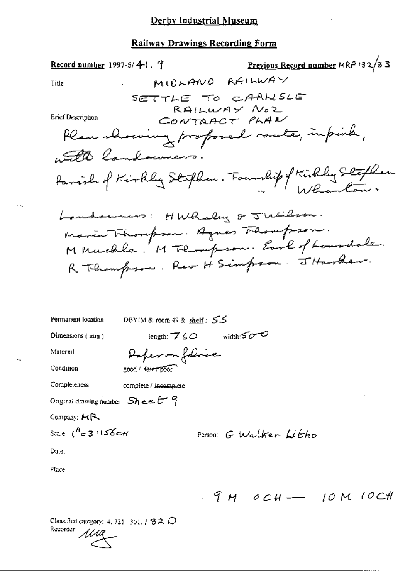# Railway Drawings Recording Form

| <u>Record number</u> 1997-5/41, J                            | Previous Record number MRP 132/33                |
|--------------------------------------------------------------|--------------------------------------------------|
| MIOLANO RAILWAY<br>Title                                     |                                                  |
| SETTLE TO CAANSLE<br>RAILWAY NOZ<br><b>Brief Description</b> |                                                  |
| CONTAACT PLAN                                                |                                                  |
| Plan showing profosed route, impirity,                       |                                                  |
| with landowners.                                             |                                                  |
| Parish of Kirkly Stephen. Foundity of Kirkley Stephen        |                                                  |
| Landsumers: HWhaley & Jucilian.                              |                                                  |
| Maria Thompson. Agnes Thampson.                              |                                                  |
| M Muchle. M Flompson. Earl of Lansdale.                      |                                                  |
| R Thempson. Rev H Simpson. JHarber.                          |                                                  |
|                                                              |                                                  |
|                                                              |                                                  |
|                                                              |                                                  |
| Permanent location<br>DBYIM & room 49 & shelf: $55$          |                                                  |
| Dimensions (mm)<br>length: $760$                             | width: $500$                                     |
| Poper on followice<br>Material                               |                                                  |
| Condition<br>good / fair / poor                              |                                                  |
| Completeness<br>complete / incomplete                        |                                                  |
| Original drawing number $Sh$ e.e. $t^g$                      |                                                  |
| Company: HR                                                  |                                                  |
| Scale: $1^{H}$ = 3 $1156$ $c$ H                              | Person G Walker Litho                            |
| Date.                                                        |                                                  |
| Place:                                                       |                                                  |
| 9 M                                                          | 10CM<br>$\mathcal{O} \subset \mathcal{H}$ - [OM] |

Classified category: 4, 721, 301,  $1$   $32$   $\bullet$ Recorder *MML* 

 $\omega_{\rm{max}}$ 

нц,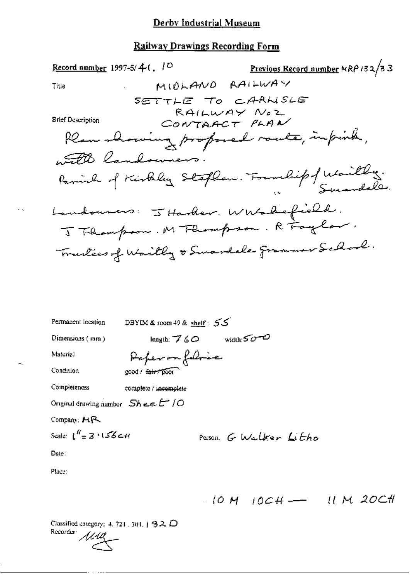## **Railway Drawings Recording Form**

| <u>Record number</u> 1997-5/ $4$ -1, 1 <sup>0</sup>                     | Previous Record number MRP 132/33 |
|-------------------------------------------------------------------------|-----------------------------------|
| MIDLAND RAILWAY<br>Title                                                |                                   |
| SETTLE TO CARNSLE                                                       |                                   |
| RAILWAY NOZ<br><b>Brief Description</b><br>CONTAACT PLAN                |                                   |
| Plan showing profosed route, impirely,                                  |                                   |
| with landowners.                                                        |                                   |
| Parinh of Kirkeley Stephen. Foundipf Waithy.                            |                                   |
|                                                                         |                                   |
| Landouners: I Harder. Whatsofield.<br>J Thampson. M Thompson. R Taglor. |                                   |
| Truckees of Waitly & Smardale grammer School.                           |                                   |
|                                                                         |                                   |
|                                                                         |                                   |
|                                                                         |                                   |

DBYIM & room 49 & shelf: 55 Permanent location length:  $760$  width: $50-0$ Dimensions (mm) Paper on floric Material Condition good / fair / poor Completeness complete / incomplete Original drawing number  $SheeE'/O$ Company: HR Scale:  $l''=3.156c$  H Person G Walker Litho Date: Place:

 $10M$   $10CH$   $11M$  20CH

Classified category: 4, 721, 301,  $1920$ Recorder:

 $\ddotsc$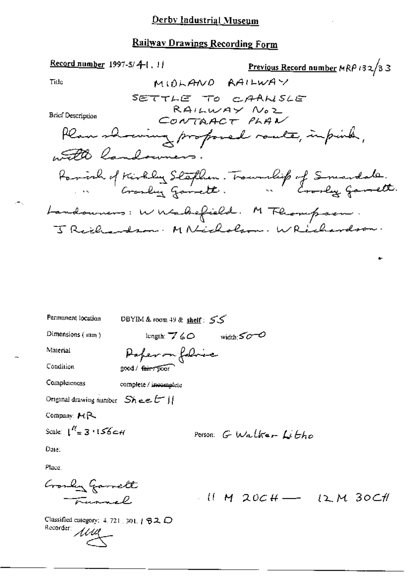## Railway Drawings Recording Form

Record number 1997-5/4-1, 11 Previous Record number MRP 132/33 MIDLAND RAILWAY Title SETTLE TO CAANSLE RAILWAY NOZ **Brief Description** CONTAACT PLAN Plan showing proposed route, infinite, with landowners. Parish of Kirkley Staphen. Trownship of Smartale.<br>Annett. Landowners: W Wabefield. M Flompson.<br>J Reile Arm. M Nicholson. W Richardson.

| Permanent location                      | DBYIM & room $49$ & shelf: $55$ |                        |
|-----------------------------------------|---------------------------------|------------------------|
| Dimensions $(mm)$                       | longth: $\nabla$ 60             | width: $50-0$          |
| Material                                | Paper on folice                 |                        |
| Condition                               | good / feir 7 poor              |                        |
| Completeness                            | complete / incomplete           |                        |
| Original drawing number $Sh$ e.e. $tr$  |                                 |                        |
| Company: MR                             |                                 |                        |
| Scale: $1^{R}$ = 3 $156$ $\epsilon$ + 1 |                                 | Person: G Walker Litho |
| Date.                                   |                                 |                        |
| Dhama                                   |                                 |                        |

Crosly Garrett  $10.10$  M 20CH - 12 M 30CH Turnel

Classified category:  $4.721$ , 301,  $1.92$ ,  $\bigcirc$ Recorder 1114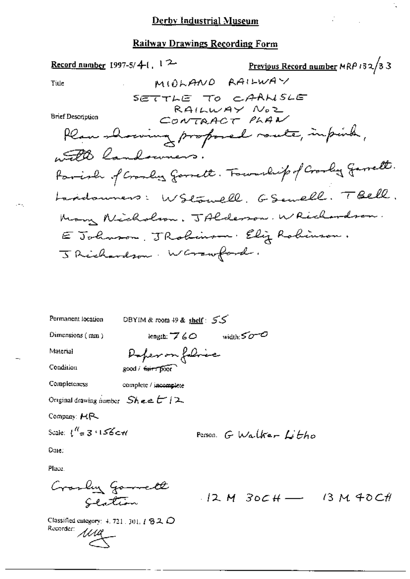Previous Record number MRP 132/33 Record number 1997-5/4-1,  $12$ MIDLAND RAILWAY Title SETTLE TO CAANSLE RAILWAY NOZ **Brief Description** CONTAACT PLAN Plan showing proposed route, impirely, 50 landowners. Parish of Cranber garrett. Fournlip of Cranbery Garrett. Laddonners: WStowell. GSewell. TBell. Man Nicholson, JAlderson, WRichardson. E Johnson, JRohimson, Eliz Rohimson. J Richardson. Warrangerd.

Permanent location DBYIM & room 49 & shelf: 55 Dimensions (mm) length:  $760$  width: $50-0$ Deperson folice Material Condition good / fairy poor Completeness complete / incomplete Original drawing number  $Sh$  e e  $t^{-1/2}$ Company: HR Scale:  $\binom{N}{n}$  3  $\cdot$  156 c+1 Person G Walker Litho

Date:

Place.

Classified category:  $4.721.301.182.0$ Recorder: 1111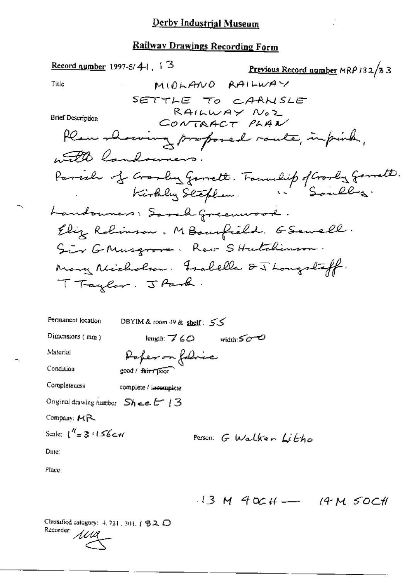Record number 1997-5/4-1, 1  $3$ Previous Record number MRP 132/33 MIDLANO RAILWAY Title SETTLE TO CAANSLE RAILWAY NOZ **Brief Description** CONTAACT PLAN Plan showing proposed route, infinite, 1500 landowners. Parish of Granby Garrett. Foundit of Granby Garrett.<br>Kirkly Stephen. Souley. Landouners: Savely Greenwood. Eliz Robinson, MBourfield. GSewell. Sir GMusgrove, Rev SHutchinson. Many Michalcon. Frabella & J Longstaff. TTaylor. JPark. DBYIM & room 49 & shelf:  $55$ Permanent location Dimensions (mm) length:  $760$  width:  $500$ **Material** Poper on followe Condition good / fair / poor Completeness complete / incomplete Original drawing number  $Sh$  e.e.  $E$   $13$ Company: HR Scale:  $1'' = 3.156c$ Person G Walker Litho Date: Place:

 $13 M 40CH \rightarrow 14 M 50CH$ 

Classified category: 4, 721, 301, 1 B 2, D Recorder: 1110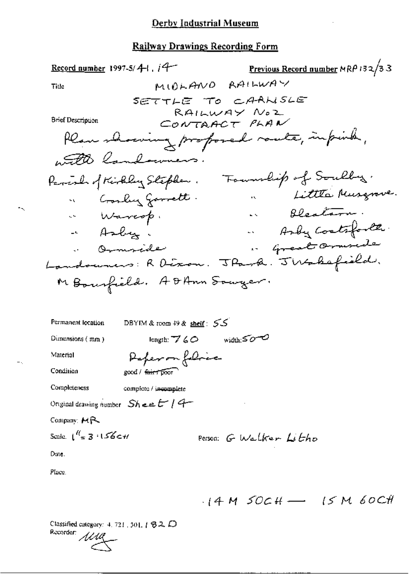$\overline{\phantom{a}}$ 

# Railway Drawings Recording Form

| Record number 1997-5/4-1, $14$                    | Previous Record number MRP 132/33 |
|---------------------------------------------------|-----------------------------------|
| MIDLANO RAILWAY<br>Title                          |                                   |
| SETTLE TO CAANSLE                                 |                                   |
| RAILWAY NOZ<br>Brief Description                  |                                   |
| CONTAACT PLAN                                     |                                   |
| than showing proposed route, infinite,            |                                   |
| with landowners.                                  |                                   |
| Parcola of Kirkley Stephen.                       | Fournalish of Souling.            |
| " Gosly good .                                    | " Little Musquie.                 |
| « Warcop.                                         | . Bleatarn.                       |
| - Asby.                                           | - Andy Contrforter                |
| . Omnisile                                        | " Great Ormsede                   |
| Landounes: R Dixon. J Park. J Wakefield.          |                                   |
| M Bourfield. A DAnn Souger.                       |                                   |
|                                                   |                                   |
|                                                   |                                   |
| Permanent location<br>DBYIM & room 49 & shelf: 55 |                                   |
| length: $760$ width: $500$<br>Dimensions $(mn)$   |                                   |
| Deperson followe<br>Material                      |                                   |
| Condition<br>good / fair 7 poor                   |                                   |
| Completeness<br>complete / incomplete             |                                   |
| Original drawing number $Sh$ $\in$ $E$ / $4-$     |                                   |
| Company: $MR$                                     |                                   |
| Scale: $\int_{-\pi}^{t\ell} 3 \cdot 156$ C H      | Person: G Walker Litho            |
| Date.                                             |                                   |
| Place.                                            |                                   |
|                                                   |                                   |
|                                                   | $14 M$ SOCH $-$ 15 M 60CH         |

Classified category: 4, 721, 301, 1 82, D Recorder: 1111

 $\tilde{\phantom{a}}$ 

 $-\, \cdot,$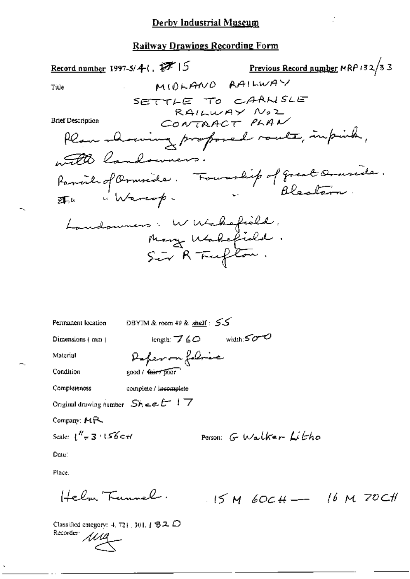| Record number 1997-5/4 (, $27/15$                                                  | Previous Record number MRP 132/33 |
|------------------------------------------------------------------------------------|-----------------------------------|
| MIOLANO RAILWAY<br>Title                                                           |                                   |
| SETTLE TO CARNSLE                                                                  |                                   |
| RAILWAY NOZ<br><b>Brief Description</b><br>CONTAACT PLAN                           |                                   |
|                                                                                    |                                   |
| Plan meaning proposed route, impirity,                                             |                                   |
| with landowners.                                                                   |                                   |
|                                                                                    |                                   |
| Parvil of Ornside. Fourthip of great Ornside.<br>Fine "Warcop.<br>"Warcop-<br>25.6 |                                   |
|                                                                                    |                                   |
| Landoumers. W Wakefield.                                                           |                                   |
| Mary Wakefield.                                                                    |                                   |
| Sir R Fufton.                                                                      |                                   |
|                                                                                    |                                   |
|                                                                                    |                                   |
|                                                                                    |                                   |
| DBYIM & room $49$ & shelf: $55$<br><b>Fermanent</b> location                       |                                   |
| length: $760$ width: $500$<br>Dimensions (mm)                                      |                                   |
| Deferma folive<br>Material                                                         |                                   |
| Condition<br>good / tarrypoor                                                      |                                   |
| Completeness<br>complete / incomplete                                              |                                   |
| Original drawing number $Sh$ $\in$ $E^{-1}$ $\top$                                 |                                   |

Company: MR

Scale:  $\int_{0}^{H}$  = 3  $\int$  56 c+1

Person: G Walker Litho

Date:

Place.

Helm Tunnel.  $15M60CH$ - 16 M 70CH

Classified category: 4, 721, 301, 1 82 D Recorder: *Akk*a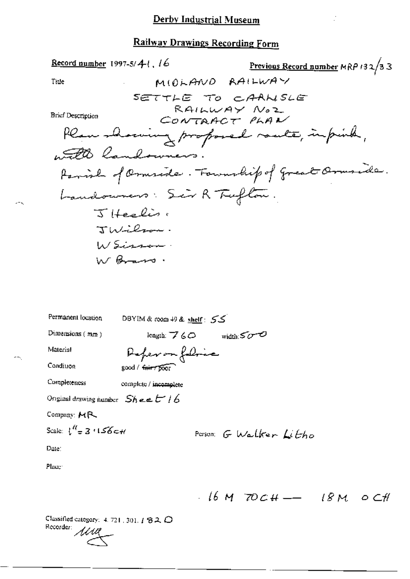<u>Record number</u> 1997-5/4-1, 16 Previous Record number MRP 132/33 MIDLAND RAILWAY Title SETTLE TO CAANSLE RAILWAY NOZ **Brief Description** CONTAACT PLAN Plan showing proposed route, infinite, 50 landowners. Family of Omerida. Formulip of great Ormside. Landounes: Sir R Tuflon.  $\overline{S}$  ifeelis: Italichen  $\mu$ / $Sian$ W Brans. Permanent location DBYIM & room 49 & shelf: 55 Dimensions  $(mn)$  $length: 760$  width  $500$ Referance Material Condiuon good / fair / poor Completeness complete / incomplete Original drawing number  $SheeE16$ Company: MR Scale:  $1^{\prime\prime} = 3.156$  c+/ Person G Walker Litto Date:

Place:

 $16M$  70CH -  $18M$  0CH

Classified category:  $4.721$ , 301,  $1.82$  O Recorder: 1114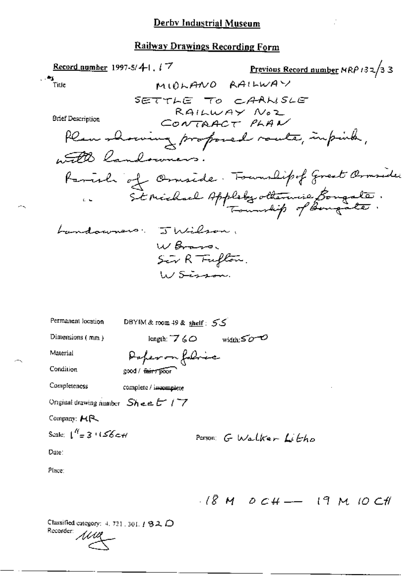### **Railway Drawings Recording Form**

Record number 1997-5/4-1,  $17$ Previous Record number  $MRP/32/33$  $\sim$ MIOLANO RAILWAY Title SETTLE TO CAANSLE RAILWAY NOZ<br>CONTRACT PLAN **Brief Description** Plan showing proposed route, impinter, with landowners. Parish of Ornside. Fouralipof Great Ornsider Landowners. Julian. W Brass. Sir R Fufton.  $h/s$ issan Permanent location DBYIM & room 49 & shelf: 55

Dimensions  $(mm)$ 

length:  $760$  width: $500$ 

Material Condition

Paper on followe good / fair / poor

Completeness complete / incomplete

Original drawing number  $SheeE/7$ 

Company: HR

$$
\text{Scale: } \int_0^R = 3 \cdot 1.56 \, \text{cm}
$$

Person: G Walker Litto

Date:

Place:

 $18M$  OCH -- 19 M 10 CH

Classified category: 4, 721, 301,  $t$   $32$ ,  $\bigcirc$ Recorder: 1111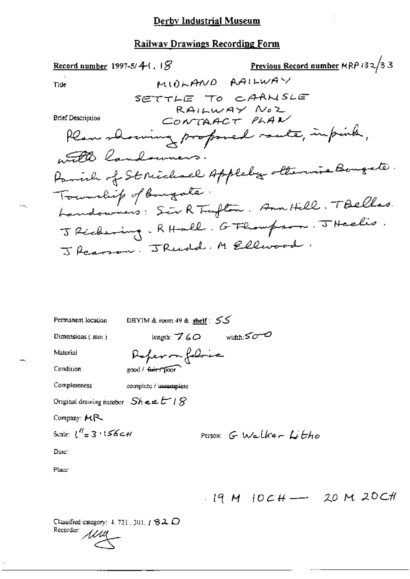Previous Record number MRP 132/33 Record number 1997-5/ $4$ - $($ ,  $8)$ MIDLAND RAILWAY Tide SETTLE TO CAANSLE RAILWAY NOZ CONTAACT PLAN **Brief Description** Plan showing proposed route, infinite, 50 landowners. Parinh of St Michael Appleby ottenune Bougate. Township of Bougate. Landowners: Sir R Trefton. Ann Hill. TBellas. J Richering. RHall. G Flompson. J Heelis. J Rearson. J Rendel. M Ellivard. DBYIM & room 49 & shelf: 55 Permanent location length:  $760$  width: $500$ Dimensions (mm) Refermindrice Material

Condition

Completeness

complete / incomplete

good / fair / poor

Original drawing number  $Sh$  =  $ETIS$ 

Company: MR

$$
Scale: \{ {}^{H} = 3 : 156 \text{cm} \}
$$

Person: 
$$
G
$$
 Walker  $L$   $Cho$ 

Date:

Place

Classified category:  $4, 721, 301, 1, 82, 12$ Recorder: